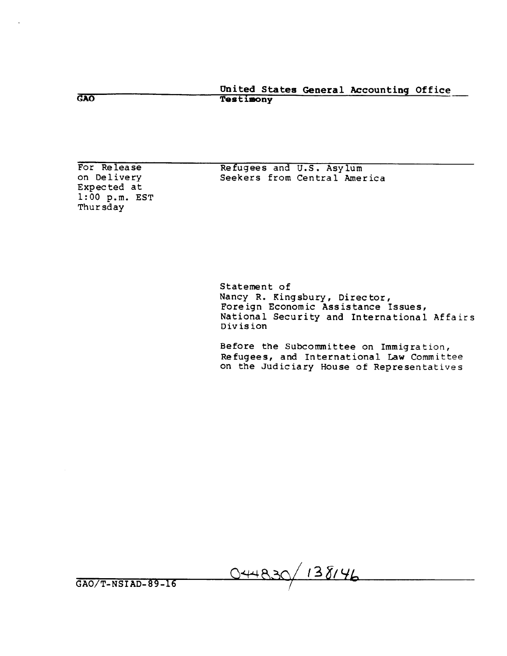United States General Accounting Office **Testimony** 

For Release on Delivery Expected at 1:OO p.m. EST Thursday

GAO

Refugees and U.S. Asylum Seekers from Central America

Statement of Nancy R. Kingsbury, Director, Foreign Economic Assistance Issues, National Security and International Affairs Division

Before the Subcommittee on Immigration, Refugees, and International Law Committee on the Judiciary House of Representatives

044830/138146

GAO/T-NSIAD-89-16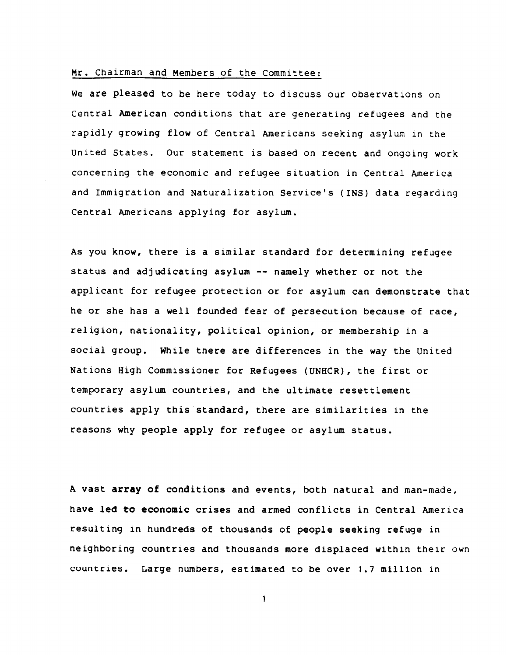# Mr. Chairman and Members of the Committee:

We are pleased to be here today to discuss our observations on Central American conditions that are generating refugees and the rapidly growing flow of Central Americans seeking asylum in the united States. Our statement is based on recent and ongoing work concerning the economic and refugee situation in Central America and Immigration and Naturalization Service's (INS) data regarding Central Americans applying for asylum.

As you know, there is a similar standard for determining refugee status and adjudicating asylum -- namely whether or not the applicant for refugee protection or for asylum can demonstrate that he or she has a well founded fear of persecution because of race, religion, nationality, political opinion, or membership in a social group. While there are differences in the way the United Nations High Commissioner for Refugees (UNHCR), the first or temporary asylum countries, and the ultimate resettlement countries apply this standard, there are similarities in the reasons why people apply for refugee or asylum status.

A vast array of conditions and events, both natural and man-made, have led to economic crises and armed conflicts in Central America resulting in hundreds of thousands of people seeking refuge in neighboring countries and thousands more displaced within their own countries. Large numbers, estimated to be over 1.7 million in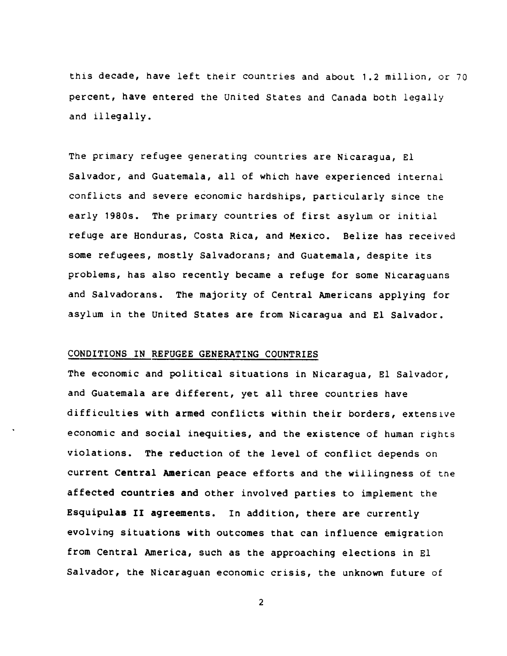this decade, have left their countries and about 1.2 million, or 70 percent, have entered the United States and Canada both legally and illegally.

The primary refugee generating countries are Nicaragua, El Salvador, and Guatemala, all of which have experienced internal conflicts and severe economic hardships, particularly since the early 1980s. The primary countries of first asylum or initial refuge are Honduras, Costa Rica, and Mexico. Belize has received some refugees, mostly Salvadorans; and Guatemala, despite its problems, has also recently became a refuge for some Nicaraguans and Salvadorans. The majority of Central Americans applying for asylum in the United States are from Nicaragua and El Salvador.

## CONDITIONS IN REFUGEE GENERATING COUNTRIES

The economic and political situations in Nicaragua, El Salvador, and Guatemala are different, yet all three countries have difficulties with armed conflicts within their borders, extensive economic and social inequities, and the existence of human rights violations. The reduction of the level of conflict depends on current Central American peace efforts and the willingness of the affected countries and other involved parties to implement the Esquipulas II agreements. In addition, there are currently evolving situations with outcomes that can influence emigration from Central America, such as the approaching elections in El Salvador, the Nicaraguan economic crisis, the unknown future of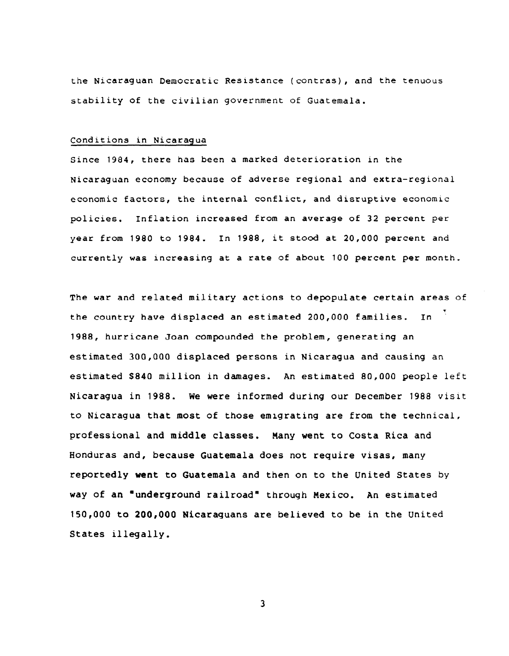the Nicaraguan Democratic Resistance (contras), and the tenuous stability of the civilian government of Guatemala.

#### Conditions in Nicaragua

Since 1984, there has been a marked deterioration in the Nicaraguan economy because of adverse regional and extra-regional economic factors, the internal conflict, and disruptive economic policies. Inflation increased from an average of 32 percent per year from 1980 to 1984. In 1988, it stood at 20,000 percent and currently was increasing at a rate of about 100 percent per month.

The war and related military actions to depopulate certain areas of the country have displaced an estimated 200,000 families. In 1988, hurricane Joan compounded the problem, generating an estimated 300,000 displaced persons in Nicaragua and causing an estimated \$840 million in damages. An estimated 80,000 people left Nicaragua in 1988. We were informed during our December 1988 visit to Nicaragua that most of those emrgrating are from the technical, professional and middle classes. Many went to Costa Rica and Honduras and, because Guatemala does not require visas, many reportedly went to Guatemala and then on to the United States by way of an 'underground railroad" through Mexico. An estimated 150,000 to 200,000 Nicaraguans are believed to be in the united States illegally.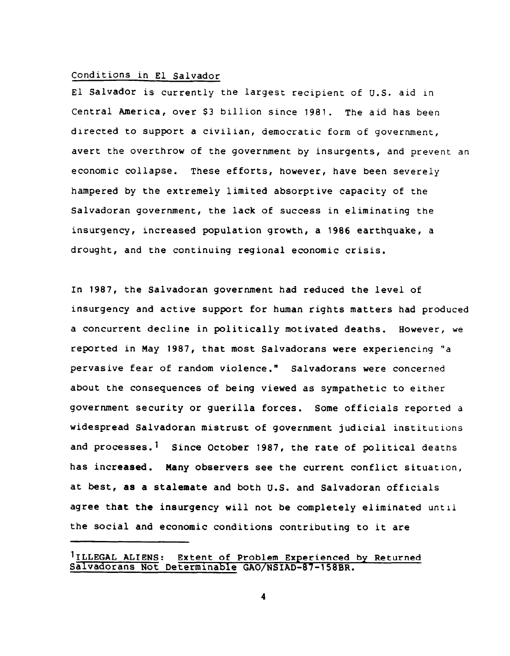### Conditions in El Salvador

El Salvador is currently the largest recipient of U.S. aid in Central America, over \$3 billion since 1981. The aid has been directed to support a civilian, democratic form of government, avert the overthrow of the government by insurgents, and prevent an economic collapse. These efforts, however, have been severely hampered by the extremely limited absorptive capacity of the Salvadoran government, the lack of success in eliminating the insurgency, increased population growth, a 1986 earthquake, a drought, and the continuing regional economic crisis.

In 1987, the Salvadoran government had reduced the level of insurgency and active support for human rights matters had produced a concurrent decline in politically motivated deaths. However, we reported in May 1987, that most Salvadorans were experiencing "a pervasive fear of random violence." Salvadorans were concerned about the consequences of being viewed as sympathetic to either government security or guerilla forces. Some officials reported a widespread Salvadoran mistrust of government judicial institutions and processes.<sup>1</sup> Since October 1987, the rate of political deaths has increased. Many observers see the current conflict situation, at best, as a stalemate and both U.S. and Salvadoran officials agree that the insurgency will not be completely eliminated until the social and economic conditions contributing to it are

<sup>&</sup>lt;sup>1</sup>ILLEGAL ALIENS: Extent of Problem Experienced by Returned Salvadorans Not Determinable GAO/NSIAD-87-158BR.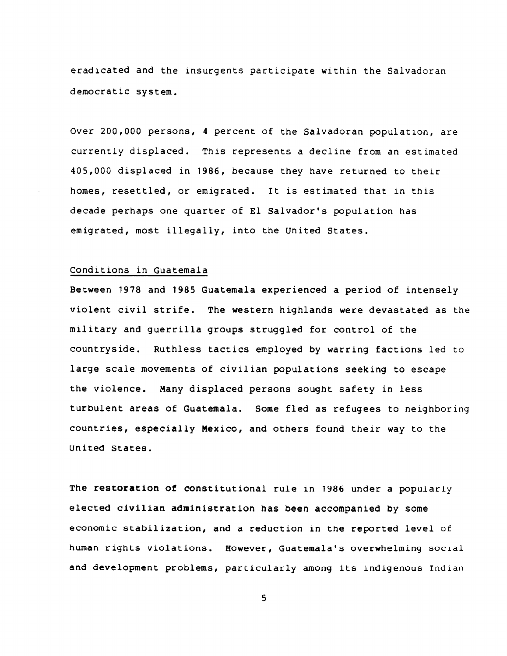eradicated and the insurgents participate within the Salvadoran democratic system.

Over 200,000 persons, 4 percent of the Salvadoran population, are currently displaced. This represents a decline from an estimated 405,000 displaced in 1986, because they have returned to their homes, resettled, or emigrated. It is estimated that in this decade perhaps one quarter of El Salvador's population has emigrated, most illegally, into the united States.

### Conditions in Guatemala

Between 1978 and 1985 Guatemala experienced a period of intensely violent civil strife. The western highlands were devastated as the military and guerrilla groups struggled for control of the countryside. Ruthless tactics employed by warring factions led to large scale movements of civilian populations seeking to escape the violence. Many displaced persons sought safety in less turbulent areas of Guatemala. Some fled as refugees to neighboring countries, especially Mexico, and others found their way to the United States.

The restoration of constitutional rule in 1986 under a popularly elected civilian administration has been accompanied by some economic stabilization, and a reduction in the reported level of human rights violations. However, Guatemala's overwhelming social and development problems, particularly among its indigenous Indian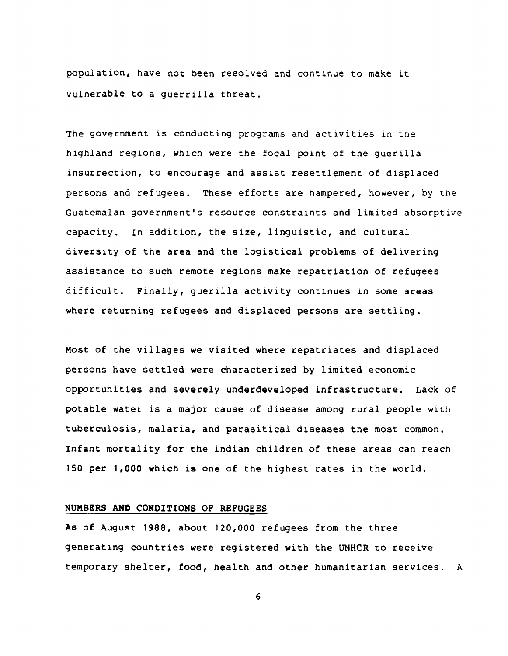population, have not been resolved and continue to make it vulnerable to a guerrilla threat.

The government is conducting programs and activities in the highland regions, which were the focal point of the guerilla insurrection, to encourage and assist resettlement of displaced persons and refugees. These efforts are hampered, however, by the Guatemalan government's resource constraints and limited absorptive capacity. In addition, the size, linguistic, and cultural diversity of the area and the logistical problems of delivering assistance to such remote regions make repatriation of refugees difficult. Finally, guerilla activity continues in some areas where returning refugees and displaced persons are settling.

Most of the villages we visited where repatriates and displaced persons have settled were characterized by limited economic opportunities and severely underdeveloped infrastructure. Lack of potable water is a major cause of disease among rural people with tuberculosis, malaria, and parasitical diseases the most common. Infant mortality for the indian children of these areas can reach 150 per 1,000 which is one of the highest rates in the world.

### NUMBERS AND CONDITIONS OF REFUGEES

As of August 1988, about 120,000 refugees from the three generating countries were registered with the UNHCR to receive temporary shelter, food, health and other humanitarian services. A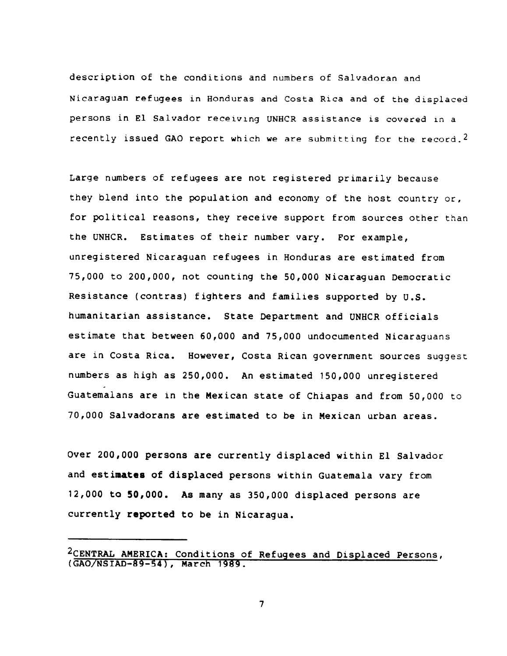description of the conditions and numbers of Salvadoran and Nicaraguan refugees in Honduras and Costa Rica and of the displaced persons in El Salvador receiving UNHCR assistance is covered ln a recently issued GAO report which we are submitting for the record.2

Large numbers of refugees are not registered primarily because they blend into the population and economy of the host country or, for political reasons, they receive support from sources other than the UNHCR. Estimates of their number vary. For example, unregistered Nicaraguan refugees in Honduras are estimated from 75,000 to 200,000, not counting the 50,000 Nicaraguan Democratic Resistance (Contras) fighters and families supported by U.S. humanitarian assistance. State Department and UNHCR officials estimate that between 60,000 and 75,000 undocumented Nicaraguans are in Costa Rica. However, Costa Rican government sources suggest numbers as high as 250,000. An estimated 150,000 unregistered Guatemalans are in the Mexican state of Chiapas and from 50,000 to 70,000 Salvadorans are estimated to be in Mexican urban areas.

Over 200,000 persons are currently displaced within El Salvador and estimates of displaced persons within Guatemala vary from 12,000 to 50,000. As many as 350,000 displaced persons are currently reported to be in Nicaragua.

<sup>2</sup>CENTRAL AMERICA: Conditions of Refugees and Displaced Persons, (GAO/NSIAD-89-54), March 1989 .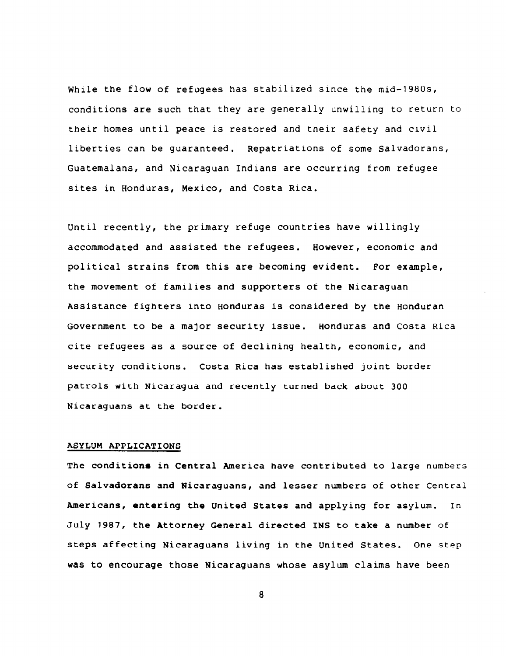While the flow of refugees has stabilized since the mid-1980s, conditions are such that they are generally unwilling to return to their homes until peace is restored and tneir safety and civil liberties can be guaranteed. Repatriations of some Salvadorans, Guatemalans, and Nicaraguan Indians are occurring from refugee sites in Honduras, Mexico, and Costa Rica.

Until recently, the primary refuge countries have willingly accommodated and assisted the refugees. However, economic and political strains from this are becoming evident. For example, the movement of families and supporters of the Nicaraguan Assistance fighters into Honduras is considered by the Honduran Government to be a major security issue. Honduras and Costa Rica cite refugees as a source of declining health, economic, and security conditions. Costa Rica has established joint border patrols with Nicaragua and recently turned back about 300 Nicaraguans at the border.

#### ASYLUM APPLICATIONS

The conditions in Central America have contributed to large numbers of Salvadorans and Nicaraguans, and lesser numbers of other Central Americans, entering the United States and applying for asylum. In July 1987, the Attorney General directed INS to take a number of steps affecting Nicaraguans living in the United States. One step was to encourage those Nicaraguans whose asylum claims have been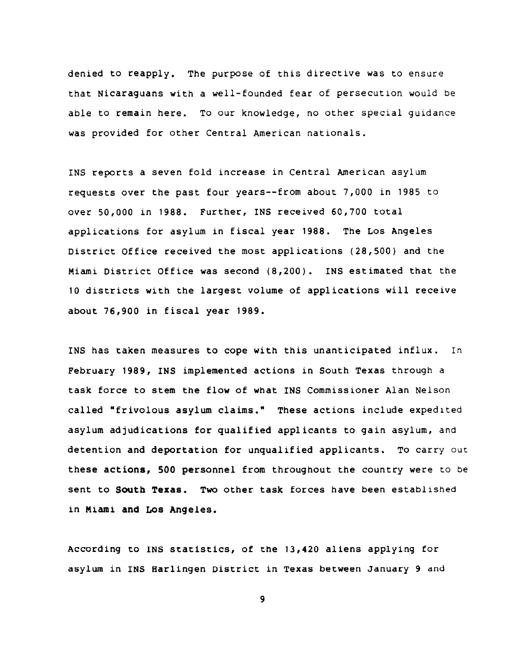denied to reapply. The purpose of this directive was to ensure that Nicaraguans with a well-founded fear of persecution would be able to remain here. To our knowledge, no other special guidance was provided for other Central American nationals.

INS reports a seven fold increase in Central American asylum requests over the past four years--from about 7,000 in 1985 to over 50,000 in 1988. Further, INS received 60,700 total applications for asylum in fiscal year 1988. The Los Angeles District Office received the most applications (28,500) and the Miami District Office was second (8,200). INS estimated that the 10 districts with the largest volume of applications will receive about 76,900 in fiscal year 1989.

INS has taken measures to cope with this unanticipated influx. In February 1989, INS implemented actions in South Texas through a task force to stem the flow of what INS Commissioner Alan Nelson called "frivolous asylum claims." These actions include expedited asylum adjudications for qualified applicants to gain asylum, and detention and deportation for unqualified applicants. To carry out these actions, 500 personnel from throughout the country were to be sent to South Texas. Two other task forces have been established in Miami and Los Angeles.

According to INS statistics, of the 13,420 aliens applying for asylum in INS Harlingen District in Texas between January 9 and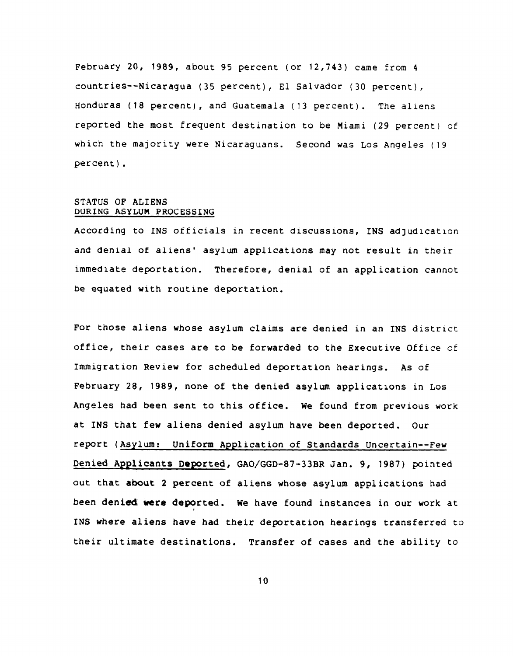February 20, 1989, about 95 percent (or 12,743) came from 4 countries-- Nicaragua (35 percent), El Salvador (30 percent), Honduras (18 percent), and Guatemala (13 percent). The al iens reported the most frequent destination to be Miami (29 percent) of which the majority were Nicaraguans. Second was Los Angeles (19 percent).

### STATUS OF ALIENS DURING ASYLUM PROCESSING

According to INS officials in recent discussions, INS adjudication and denial of aliens' asylum applications may not result in their immediate deportation. Therefore, denial of an application cannot be equated with routine deportation.

For those aliens whose asylum claims are denied in an INS district office, their cases are to be forwarded to the Executive Office of Immigration Review for scheduled deportation hearings. As of February 28, 1989, none of the denied asylum applications in Los Angeles had been sent to this office. We found from previous work at INS that few aliens denied asylum have been deported. Our report (Asylum: Uniform Application of Standards Uncertain--Few Denied Applicants Deported, GAO/GGD-87-33BR Jan. 9, 1987) pointed out that about 2 percent of aliens whose asylum applications had been denied were deported. We have found instances in our work at INS where aliens have had their deportation hearings transferred to their ultimate destinations. Transfer of cases and the ability to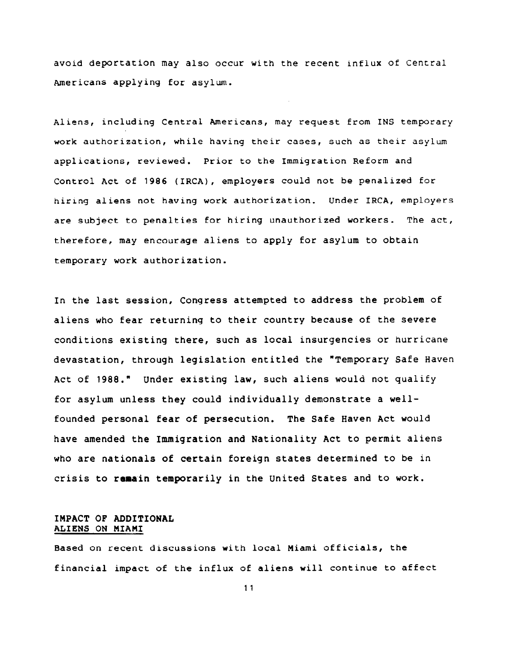avoid deportation may also occur with the recent influx of Central Americans applying for asylum.

Aliens, including Central Americans, may request from INS temporary work authorization, while having their cases, such as their asylum applications, reviewed. Prior to the Immigration Reform and Control Act of 1986 (IRCA), employers could not be penalized for hiring aliens not having work authorization. Under IRCA, employers are subject to penalties for hiring unauthorized workers. The act, therefore, may encourage aliens to apply for asylum to obtain temporary work authorization.

In the last session, Congress attempted to address the problem of aliens who fear returning to their country because of the severe conditions existing there, such as local insurgencies or hurricane devastation, through legislation entitled the \*Temporary Safe Haven Act of 1988." Under existing law, such aliens would not qualify for asylum unless they could individually demonstrate a wellfounded personal fear of persecution. The Safe Haven Act would have amended the Immigration and Nationality Act to permit aliens who are nationals of certain foreign states determined to be in crisis to remain temporarily in the United States and to work.

### IMPACT OF ADDITIONAL ALIENS ON MIAMI

Based on recent discussions with local Miami officials, the financial impact of the influx of aliens will continue to affect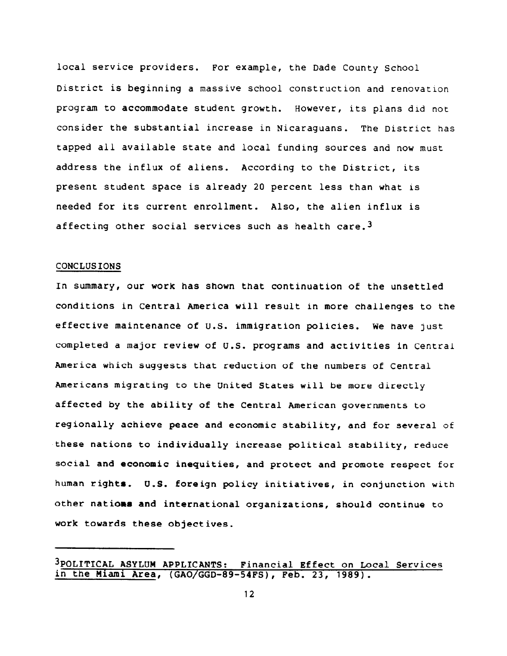local service providers. For example, the Dade County School District is beginning a massive school construction and renovation program to accommodate student growth. However, its plans did not consider the substantial increase in Nicaraguans. The District has tapped all available state and local funding sources and now must address the influx of aliens. According to the District, its present student space is already 20 percent less than what is needed for its current enrollment. Also, the alien influx is affecting other social services such as health care.<sup>3</sup>

#### CONCLUSIONS

In summary, our work has shown that continuation of the unsettled conditions in Central America will result in more challenges to the effective maintenance of U.S. immigration policies. We have just completed a major review of U.S. programs and activities in Central America which suggests that reduction of the numbers of Central Americans migrating to the United States will be more directly affected by the ability of the Central American governments to regionally achieve peace and economic stability, and for several of these nations to individually increase political stability, reduce social and economic inequities, and protect and promote respect for human rights. U.S. foreign policy initiatives, in conjunction with other nations and international organizations, should continue to work towards these objectives.

<sup>3</sup>POLITICAL ASYLUM APPLICANTS: Financial Effect on LOCal Services in the Miami Area, (GAO/GGD-89-54FS), Feb. 23, 1989).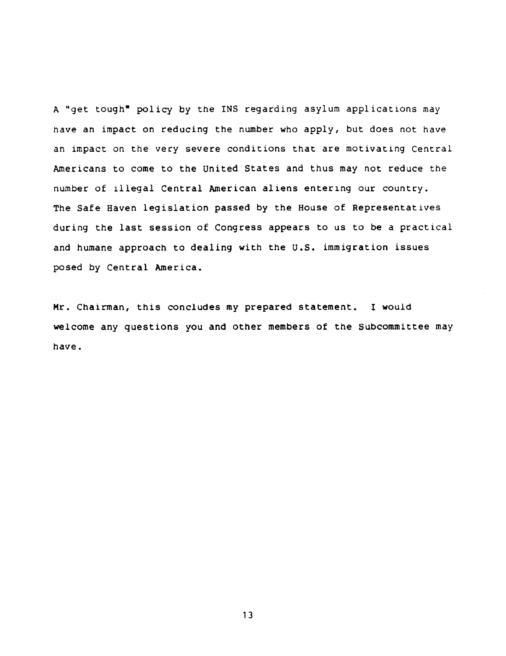A "get tough" policy by the INS regarding asylum applications may have an impact on reducing the number who apply, but does not have an impact on the very severe conditions that are motivating Central Americans to come to the United States and thus may not reduce the number of illegal Central American aliens entering our country. The Safe Haven legislation passed by the House of Representatives during the last session of Congress appears to us to be a practical and humane approach to dealing with the U.S. immigration issues posed by Central America.

Mr. Chairman, this concludes my prepared statement. I would welcome any questions you and other members of the Subcommittee may have.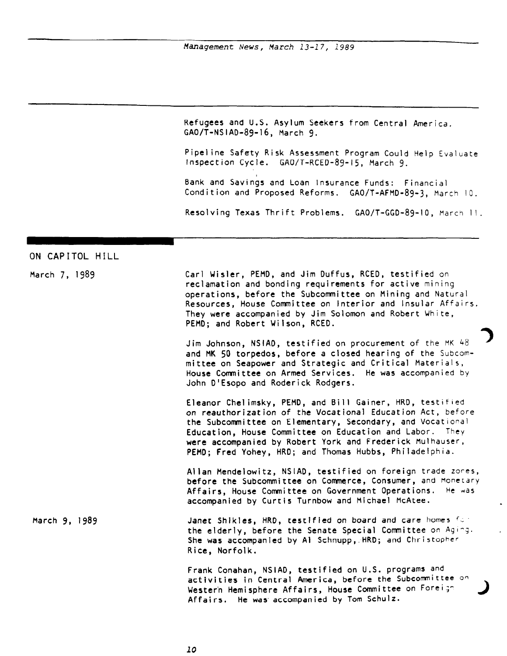Refugees and U.S. Asylum Seekers from Central America. GAO/T-NSIAD-89-16, March 9.

Pipeline Safety Risk Assessment Program Could Help Evaluate Inspection Cycle. GAO/T-RCED-89-15, March 9.

Bank and Savings and Loan Insurance Funds: Financial Condition and Proposed Reforms. GAO/T-AFMD-89-3, March IO.

Resolving Texas Thrift Problems. GAO/T-GGD-89-10, March II.

# ON CAPITOL HILL

| March 7, 1989 | Carl Wisler, PEMD, and Jim Duffus, RCED, testified on<br>reclamation and bonding requirements for active mining<br>operations, before the Subcommittee on Mining and Natural<br>Resources, House Committee on Interior and Insular Affairs.<br>They were accompanied by Jim Solomon and Robert White,<br>PEMD; and Robert Wilson, RCED.                              |
|---------------|----------------------------------------------------------------------------------------------------------------------------------------------------------------------------------------------------------------------------------------------------------------------------------------------------------------------------------------------------------------------|
|               | Jim Johnson, NSIAD, testified on procurement of the MK 48<br>and MK 50 torpedos, before a closed hearing of the Subcom-<br>mittee on Seapower and Strategic and Critical Materials,<br>House Committee on Armed Services. He was accompanied by<br>John D'Esopo and Roderick Rodgers.                                                                                |
|               | Eleanor Chelimsky, PEMD, and Bill Gainer, HRD, testified<br>on reauthorization of the Vocational Education Act, before<br>the Subcommittee on Elementary, Secondary, and Vocational<br>Education, House Committee on Education and Labor. They<br>were accompanied by Robert York and Frederick Mulhauser,<br>PEMD; Fred Yohey, HRD; and Thomas Hubbs, Philadelphia. |
|               | Allan Mendelowitz, NSIAD, testified on foreign trade zones,<br>before the Subcommittee on Commerce, Consumer, and Monetary<br>Affairs, House Committee on Government Operations.<br>He was<br>accompanied by Curtis Turnbow and Michael McAtee.                                                                                                                      |
| March 9, 1989 | Janet Shikles, HRD, testified on board and care homes for<br>the elderly, before the Senate Special Committee on Aging.<br>She was accompanied by Al Schnupp, HRD; and Christopher<br>Rice, Norfolk.                                                                                                                                                                 |
|               | Frank Conahan, NSIAD, testified on U.S. programs and<br>activities in Central America, before the Subcommittee on<br>Western Hemisphere Affairs, House Committee on Foreign<br>Affairs. He was accompanied by Tom Schulz.                                                                                                                                            |